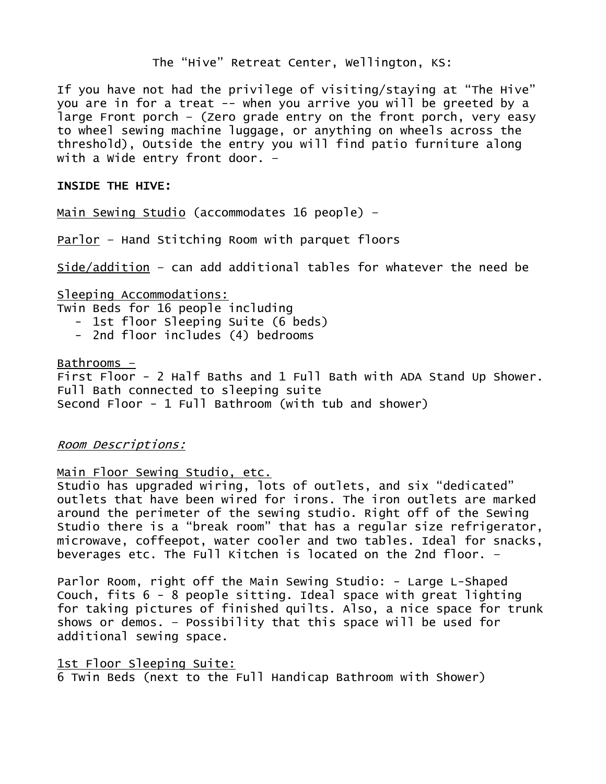The "Hive" Retreat Center, Wellington, KS:

If you have not had the privilege of visiting/staying at "The Hive" you are in for a treat -- when you arrive you will be greeted by a large Front porch – (Zero grade entry on the front porch, very easy to wheel sewing machine luggage, or anything on wheels across the threshold), Outside the entry you will find patio furniture along with a Wide entry front door. –

#### INSIDE THE HIVE:

Main Sewing Studio (accommodates 16 people) –

Parlor – Hand Stitching Room with parquet floors

Side/addition – can add additional tables for whatever the need be

Sleeping Accommodations: Twin Beds for 16 people including - 1st floor Sleeping Suite (6 beds) - 2nd floor includes (4) bedrooms

Bathrooms  $-$ First Floor - 2 Half Baths and 1 Full Bath with ADA Stand Up Shower. Full Bath connected to sleeping suite Second Floor - 1 Full Bathroom (with tub and shower)

#### Room Descriptions:

#### Main Floor Sewing Studio, etc.

Studio has upgraded wiring, lots of outlets, and six "dedicated" outlets that have been wired for irons. The iron outlets are marked around the perimeter of the sewing studio. Right off of the Sewing Studio there is a "break room" that has a regular size refrigerator, microwave, coffeepot, water cooler and two tables. Ideal for snacks, beverages etc. The Full Kitchen is located on the 2nd floor. –

Parlor Room, right off the Main Sewing Studio: - Large L-Shaped Couch, fits 6 - 8 people sitting. Ideal space with great lighting for taking pictures of finished quilts. Also, a nice space for trunk shows or demos. – Possibility that this space will be used for additional sewing space.

#### 1st Floor Sleeping Suite:

6 Twin Beds (next to the Full Handicap Bathroom with Shower)